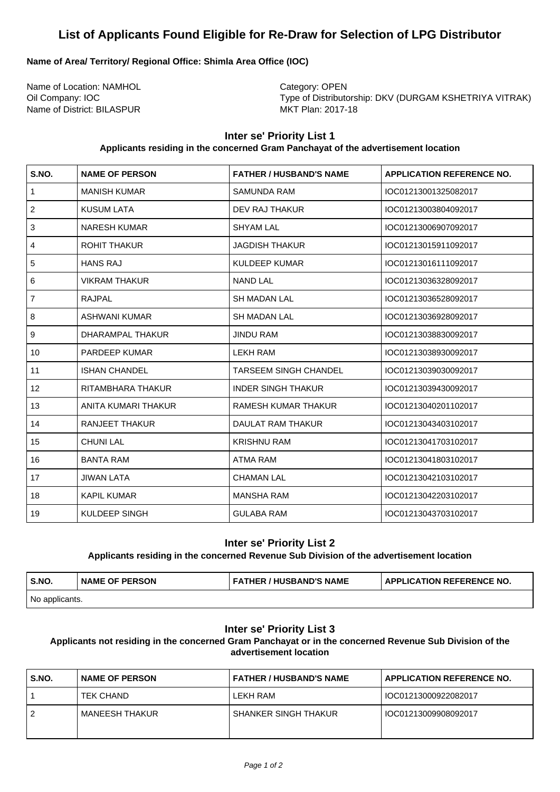# **List of Applicants Found Eligible for Re-Draw for Selection of LPG Distributor**

## **Name of Area/ Territory/ Regional Office: Shimla Area Office (IOC)**

Name of Location: NAMHOL Category: OPEN Name of District: BILASPUR MKT Plan: 2017-18

Oil Company: IOC **Type of Distributorship: DKV (DURGAM KSHETRIYA VITRAK)** 

# **Inter se' Priority List 1**

#### **Applicants residing in the concerned Gram Panchayat of the advertisement location**

| S.NO.          | <b>NAME OF PERSON</b> | <b>FATHER / HUSBAND'S NAME</b> | <b>APPLICATION REFERENCE NO.</b> |
|----------------|-----------------------|--------------------------------|----------------------------------|
| 1              | <b>MANISH KUMAR</b>   | SAMUNDA RAM                    | IOC01213001325082017             |
| $\overline{2}$ | <b>KUSUM LATA</b>     | <b>DEV RAJ THAKUR</b>          | IOC01213003804092017             |
| 3              | <b>NARESH KUMAR</b>   | <b>SHYAM LAL</b>               | IOC01213006907092017             |
| 4              | <b>ROHIT THAKUR</b>   | <b>JAGDISH THAKUR</b>          | IOC01213015911092017             |
| 5              | <b>HANS RAJ</b>       | <b>KULDEEP KUMAR</b>           | IOC01213016111092017             |
| 6              | <b>VIKRAM THAKUR</b>  | <b>NAND LAL</b>                | IOC01213036328092017             |
| $\overline{7}$ | RAJPAL                | <b>SH MADAN LAL</b>            | IOC01213036528092017             |
| 8              | <b>ASHWANI KUMAR</b>  | <b>SH MADAN LAL</b>            | IOC01213036928092017             |
| 9              | DHARAMPAL THAKUR      | <b>JINDU RAM</b>               | IOC01213038830092017             |
| 10             | <b>PARDEEP KUMAR</b>  | LEKH RAM                       | IOC01213038930092017             |
| 11             | <b>ISHAN CHANDEL</b>  | TARSEEM SINGH CHANDEL          | IOC01213039030092017             |
| 12             | RITAMBHARA THAKUR     | <b>INDER SINGH THAKUR</b>      | IOC01213039430092017             |
| 13             | ANITA KUMARI THAKUR   | RAMESH KUMAR THAKUR            | IOC01213040201102017             |
| 14             | <b>RANJEET THAKUR</b> | DAULAT RAM THAKUR              | IOC01213043403102017             |
| 15             | <b>CHUNI LAL</b>      | <b>KRISHNU RAM</b>             | IOC01213041703102017             |
| 16             | <b>BANTA RAM</b>      | ATMA RAM                       | IOC01213041803102017             |
| 17             | <b>JIWAN LATA</b>     | <b>CHAMAN LAL</b>              | IOC01213042103102017             |
| 18             | <b>KAPIL KUMAR</b>    | <b>MANSHA RAM</b>              | IOC01213042203102017             |
| 19             | KULDEEP SINGH         | <b>GULABA RAM</b>              | IOC01213043703102017             |

### **Inter se' Priority List 2**

#### **Applicants residing in the concerned Revenue Sub Division of the advertisement location**

| S.NO.          | <b>INAME OF PERSON</b> | ' FATHER / HUSBAND'S NAME | <b>APPLICATION REFERENCE NO.</b> |
|----------------|------------------------|---------------------------|----------------------------------|
| No applicants. |                        |                           |                                  |

# **Inter se' Priority List 3**

**Applicants not residing in the concerned Gram Panchayat or in the concerned Revenue Sub Division of the advertisement location**

| S.NO. | <b>NAME OF PERSON</b> | FATHER / HUSBAND'S NAME     | <b>APPLICATION REFERENCE NO.</b> |
|-------|-----------------------|-----------------------------|----------------------------------|
|       | TEK CHAND             | LEKH RAM                    | IOC01213000922082017             |
|       | <b>MANEESH THAKUR</b> | <b>SHANKER SINGH THAKUR</b> | IOC01213009908092017             |